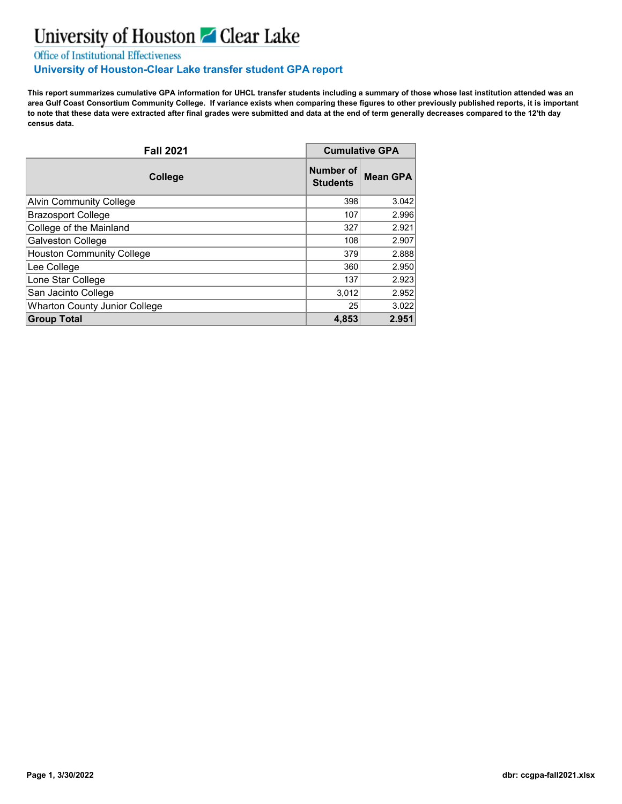### Office of Institutional Effectiveness

# **University of Houston-Clear Lake transfer student GPA report**

**This report summarizes cumulative GPA information for UHCL transfer students including a summary of those whose last institution attended was an area Gulf Coast Consortium Community College. If variance exists when comparing these figures to other previously published reports, it is important to note that these data were extracted after final grades were submitted and data at the end of term generally decreases compared to the 12'th day census data.**

| <b>Fall 2021</b>                     | <b>Cumulative GPA</b>               |                 |  |
|--------------------------------------|-------------------------------------|-----------------|--|
| <b>College</b>                       | <b>Number of</b><br><b>Students</b> | <b>Mean GPA</b> |  |
| <b>Alvin Community College</b>       | 398                                 | 3.042           |  |
| <b>Brazosport College</b>            | 107                                 | 2.996           |  |
| College of the Mainland              | 327                                 | 2.921           |  |
| <b>Galveston College</b>             | 108                                 | 2.907           |  |
| <b>Houston Community College</b>     | 379                                 | 2.888           |  |
| Lee College                          | 360                                 | 2.950           |  |
| Lone Star College                    | 137                                 | 2.923           |  |
| San Jacinto College                  | 3,012                               | 2.952           |  |
| <b>Wharton County Junior College</b> | 25                                  | 3.022           |  |
| <b>Group Total</b>                   | 4.853                               | 2.951           |  |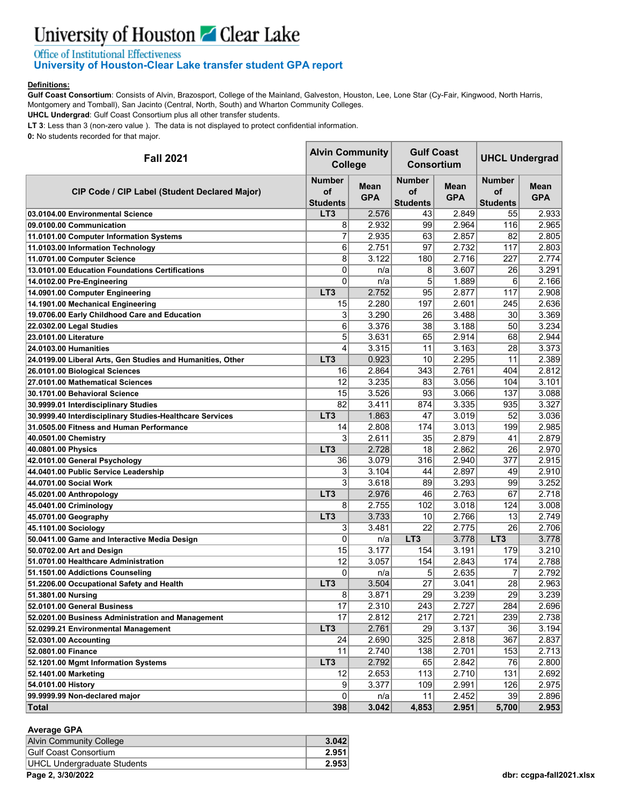# **Office of Institutional Effectiveness<br>University of Houston-Clear Lake transfer student GPA report**

#### **Definitions:**

**Gulf Coast Consortium**: Consists of Alvin, Brazosport, College of the Mainland, Galveston, Houston, Lee, Lone Star (Cy-Fair, Kingwood, North Harris, Montgomery and Tomball), San Jacinto (Central, North, South) and Wharton Community Colleges.

**UHCL Undergrad**: Gulf Coast Consortium plus all other transfer students.

LT 3: Less than 3 (non-zero value ). The data is not displayed to protect confidential information.

**0:** No students recorded for that major.

| <b>Number</b><br><b>Number</b><br><b>Number</b><br>Mean<br>Mean<br>Mean<br>CIP Code / CIP Label (Student Declared Major)<br>οf<br><b>of</b><br><b>of</b><br><b>GPA</b><br><b>GPA</b><br><b>GPA</b><br><b>Students</b><br><b>Students</b><br>Students<br>LT <sub>3</sub><br>2.576<br>43<br>2.849<br>2.933<br>03.0104.00 Environmental Science<br>55<br>2.932<br>99<br>2.964<br>09.0100.00 Communication<br>8<br>116<br>82<br>2.935<br>63<br>2.857<br>11.0101.00 Computer Information Systems<br>6<br>97<br>2.732<br>117<br>2.751<br>11.0103.00 Information Technology<br>8<br>3.122<br>180<br>2.716<br>227<br>11.0701.00 Computer Science<br>0<br>8<br>3.607<br>26<br>13.0101.00 Education Foundations Certifications<br>n/a<br>$\mathbf 0$<br>5<br>6<br>1.889<br>n/a<br>14.0102.00 Pre-Engineering<br>LT <sub>3</sub><br>2.752<br>95<br>2.877<br>117<br>14.0901.00 Computer Engineering<br>2.280<br>15<br>197<br>2.601<br>245<br>14.1901.00 Mechanical Engineering | <b>Fall 2021</b>                              | <b>Alvin Community</b><br><b>College</b> |       | <b>Gulf Coast</b><br><b>Consortium</b> |       | <b>UHCL Undergrad</b> |                |  |
|--------------------------------------------------------------------------------------------------------------------------------------------------------------------------------------------------------------------------------------------------------------------------------------------------------------------------------------------------------------------------------------------------------------------------------------------------------------------------------------------------------------------------------------------------------------------------------------------------------------------------------------------------------------------------------------------------------------------------------------------------------------------------------------------------------------------------------------------------------------------------------------------------------------------------------------------------------------------|-----------------------------------------------|------------------------------------------|-------|----------------------------------------|-------|-----------------------|----------------|--|
|                                                                                                                                                                                                                                                                                                                                                                                                                                                                                                                                                                                                                                                                                                                                                                                                                                                                                                                                                                    |                                               |                                          |       |                                        |       |                       |                |  |
|                                                                                                                                                                                                                                                                                                                                                                                                                                                                                                                                                                                                                                                                                                                                                                                                                                                                                                                                                                    |                                               |                                          |       |                                        |       |                       |                |  |
|                                                                                                                                                                                                                                                                                                                                                                                                                                                                                                                                                                                                                                                                                                                                                                                                                                                                                                                                                                    |                                               |                                          |       |                                        |       |                       | 2.965          |  |
|                                                                                                                                                                                                                                                                                                                                                                                                                                                                                                                                                                                                                                                                                                                                                                                                                                                                                                                                                                    |                                               |                                          |       |                                        |       |                       | 2.805          |  |
|                                                                                                                                                                                                                                                                                                                                                                                                                                                                                                                                                                                                                                                                                                                                                                                                                                                                                                                                                                    |                                               |                                          |       |                                        |       |                       | 2.803          |  |
|                                                                                                                                                                                                                                                                                                                                                                                                                                                                                                                                                                                                                                                                                                                                                                                                                                                                                                                                                                    |                                               |                                          |       |                                        |       |                       | 2.774          |  |
|                                                                                                                                                                                                                                                                                                                                                                                                                                                                                                                                                                                                                                                                                                                                                                                                                                                                                                                                                                    |                                               |                                          |       |                                        |       |                       | 3.291          |  |
|                                                                                                                                                                                                                                                                                                                                                                                                                                                                                                                                                                                                                                                                                                                                                                                                                                                                                                                                                                    |                                               |                                          |       |                                        |       |                       | 2.166          |  |
|                                                                                                                                                                                                                                                                                                                                                                                                                                                                                                                                                                                                                                                                                                                                                                                                                                                                                                                                                                    |                                               |                                          |       |                                        |       |                       | 2.908          |  |
|                                                                                                                                                                                                                                                                                                                                                                                                                                                                                                                                                                                                                                                                                                                                                                                                                                                                                                                                                                    |                                               |                                          |       |                                        |       |                       | 2.636          |  |
|                                                                                                                                                                                                                                                                                                                                                                                                                                                                                                                                                                                                                                                                                                                                                                                                                                                                                                                                                                    | 19.0706.00 Early Childhood Care and Education | 3                                        | 3.290 | 26                                     | 3.488 | 30                    | 3.369          |  |
| 6<br>3.376<br>38<br>3.188<br>50<br>22.0302.00 Legal Studies                                                                                                                                                                                                                                                                                                                                                                                                                                                                                                                                                                                                                                                                                                                                                                                                                                                                                                        |                                               |                                          |       |                                        |       |                       | 3.234          |  |
| 5<br>3.631<br>65<br>2.914<br>68<br>23.0101.00 Literature                                                                                                                                                                                                                                                                                                                                                                                                                                                                                                                                                                                                                                                                                                                                                                                                                                                                                                           |                                               |                                          |       |                                        |       |                       | 2.944          |  |
| $\overline{\mathbf{4}}$<br>3.315<br>11<br>3.163<br>28<br>24.0103.00 Humanities                                                                                                                                                                                                                                                                                                                                                                                                                                                                                                                                                                                                                                                                                                                                                                                                                                                                                     |                                               |                                          |       |                                        |       |                       | 3.373          |  |
| LT <sub>3</sub><br>0.923<br>10<br>2.295<br>11<br>24.0199.00 Liberal Arts, Gen Studies and Humanities, Other                                                                                                                                                                                                                                                                                                                                                                                                                                                                                                                                                                                                                                                                                                                                                                                                                                                        |                                               |                                          |       |                                        |       |                       | 2.389          |  |
| 2.761<br>16<br>2.864<br>343<br>404<br>26.0101.00 Biological Sciences                                                                                                                                                                                                                                                                                                                                                                                                                                                                                                                                                                                                                                                                                                                                                                                                                                                                                               |                                               |                                          |       |                                        |       |                       | 2.812          |  |
| 12<br>3.235<br>83<br>3.056<br>104<br>27.0101.00 Mathematical Sciences                                                                                                                                                                                                                                                                                                                                                                                                                                                                                                                                                                                                                                                                                                                                                                                                                                                                                              |                                               |                                          |       |                                        |       |                       | 3.101          |  |
| 15<br>93<br>137<br>3.526<br>3.066<br>30.1701.00 Behavioral Science                                                                                                                                                                                                                                                                                                                                                                                                                                                                                                                                                                                                                                                                                                                                                                                                                                                                                                 |                                               |                                          |       |                                        |       |                       | 3.088          |  |
| 82<br>3.411<br>874<br>3.335<br>935<br>30.9999.01 Interdisciplinary Studies                                                                                                                                                                                                                                                                                                                                                                                                                                                                                                                                                                                                                                                                                                                                                                                                                                                                                         |                                               |                                          |       |                                        |       |                       | 3.327          |  |
| LT <sub>3</sub><br>1.863<br>47<br>3.019<br>52<br>30.9999.40 Interdisciplinary Studies-Healthcare Services                                                                                                                                                                                                                                                                                                                                                                                                                                                                                                                                                                                                                                                                                                                                                                                                                                                          |                                               |                                          |       |                                        |       |                       | 3.036          |  |
| 2.808<br>3.013<br>199<br>31.0505.00 Fitness and Human Performance<br>14<br>174                                                                                                                                                                                                                                                                                                                                                                                                                                                                                                                                                                                                                                                                                                                                                                                                                                                                                     |                                               |                                          |       |                                        |       |                       | 2.985          |  |
| 3<br>2.611<br>35<br>2.879<br>41<br>40.0501.00 Chemistry                                                                                                                                                                                                                                                                                                                                                                                                                                                                                                                                                                                                                                                                                                                                                                                                                                                                                                            |                                               |                                          |       |                                        |       |                       | 2.879          |  |
| LT <sub>3</sub><br>2.728<br>18<br>2.862<br>26<br>40.0801.00 Physics                                                                                                                                                                                                                                                                                                                                                                                                                                                                                                                                                                                                                                                                                                                                                                                                                                                                                                |                                               |                                          |       |                                        |       |                       | 2.970          |  |
| 377<br>3.079<br>316<br>2.940<br>36<br>42.0101.00 General Psychology                                                                                                                                                                                                                                                                                                                                                                                                                                                                                                                                                                                                                                                                                                                                                                                                                                                                                                |                                               |                                          |       |                                        |       |                       | 2.915          |  |
| 3<br>3.104<br>44<br>2.897<br>49<br>44.0401.00 Public Service Leadership                                                                                                                                                                                                                                                                                                                                                                                                                                                                                                                                                                                                                                                                                                                                                                                                                                                                                            |                                               |                                          |       |                                        |       |                       | 2.910          |  |
| 3<br>3.618<br>89<br>3.293<br>99<br>44.0701.00 Social Work                                                                                                                                                                                                                                                                                                                                                                                                                                                                                                                                                                                                                                                                                                                                                                                                                                                                                                          |                                               |                                          |       |                                        |       |                       | 3.252          |  |
| LT <sub>3</sub><br>46<br>2.976<br>2.763<br>67<br>45.0201.00 Anthropology                                                                                                                                                                                                                                                                                                                                                                                                                                                                                                                                                                                                                                                                                                                                                                                                                                                                                           |                                               |                                          |       |                                        |       |                       | 2.718          |  |
| 102<br>8<br>2.755<br>3.018<br>124<br>45.0401.00 Criminology                                                                                                                                                                                                                                                                                                                                                                                                                                                                                                                                                                                                                                                                                                                                                                                                                                                                                                        |                                               |                                          |       |                                        |       |                       | 3.008          |  |
| LT <sub>3</sub><br>3.733<br>2.766<br>13<br>45.0701.00 Geography<br>10                                                                                                                                                                                                                                                                                                                                                                                                                                                                                                                                                                                                                                                                                                                                                                                                                                                                                              |                                               |                                          |       |                                        |       |                       | 2.749          |  |
| $\overline{22}$<br>$\overline{26}$<br>$\mathbf{3}$<br>3.481<br>2.775<br>45.1101.00 Sociology                                                                                                                                                                                                                                                                                                                                                                                                                                                                                                                                                                                                                                                                                                                                                                                                                                                                       |                                               |                                          |       |                                        |       |                       | 2.706          |  |
| $\mathbf 0$<br>LT <sub>3</sub><br>3.778<br>LT <sub>3</sub><br>50.0411.00 Game and Interactive Media Design<br>n/a                                                                                                                                                                                                                                                                                                                                                                                                                                                                                                                                                                                                                                                                                                                                                                                                                                                  |                                               |                                          |       |                                        |       |                       | 3.778          |  |
| 15<br>3.177<br>3.191<br>154<br>179<br>50.0702.00 Art and Design                                                                                                                                                                                                                                                                                                                                                                                                                                                                                                                                                                                                                                                                                                                                                                                                                                                                                                    |                                               |                                          |       |                                        |       |                       | 3.210          |  |
| 12<br>2.843<br>174<br>51.0701.00 Healthcare Administration<br>3.057<br>154                                                                                                                                                                                                                                                                                                                                                                                                                                                                                                                                                                                                                                                                                                                                                                                                                                                                                         |                                               |                                          |       |                                        |       |                       | 2.788          |  |
| $\Omega$<br>5<br>2.635<br>7<br>51.1501.00 Addictions Counseling<br>n/a                                                                                                                                                                                                                                                                                                                                                                                                                                                                                                                                                                                                                                                                                                                                                                                                                                                                                             |                                               |                                          |       |                                        |       |                       | 2.792          |  |
| LT <sub>3</sub><br>3.504<br>27<br>28<br>3.041<br>51.2206.00 Occupational Safety and Health                                                                                                                                                                                                                                                                                                                                                                                                                                                                                                                                                                                                                                                                                                                                                                                                                                                                         |                                               |                                          |       |                                        |       |                       | 2.963          |  |
| 29<br>$\overline{29}$<br>3.871<br>3.239<br>8<br>51.3801.00 Nursing                                                                                                                                                                                                                                                                                                                                                                                                                                                                                                                                                                                                                                                                                                                                                                                                                                                                                                 |                                               |                                          |       |                                        |       |                       | 3.239          |  |
| $\overline{17}$<br>2.310<br>243<br>2.727<br>284<br>52.0101.00 General Business                                                                                                                                                                                                                                                                                                                                                                                                                                                                                                                                                                                                                                                                                                                                                                                                                                                                                     |                                               |                                          |       |                                        |       |                       | 2.696          |  |
| 17<br>2.812<br>2.721<br>239<br>217<br>52.0201.00 Business Administration and Management                                                                                                                                                                                                                                                                                                                                                                                                                                                                                                                                                                                                                                                                                                                                                                                                                                                                            |                                               |                                          |       |                                        |       |                       | 2.738          |  |
| LT3<br>2.761<br>29<br>3.137<br>36<br>52.0299.21 Environmental Management                                                                                                                                                                                                                                                                                                                                                                                                                                                                                                                                                                                                                                                                                                                                                                                                                                                                                           |                                               |                                          |       |                                        |       |                       | 3.194          |  |
| 325<br>367<br>52.0301.00 Accounting<br>2.690<br>2.818<br>24                                                                                                                                                                                                                                                                                                                                                                                                                                                                                                                                                                                                                                                                                                                                                                                                                                                                                                        |                                               |                                          |       |                                        |       |                       | 2.837          |  |
| 11<br>2.740<br>138<br>2.701<br>153<br>52.0801.00 Finance                                                                                                                                                                                                                                                                                                                                                                                                                                                                                                                                                                                                                                                                                                                                                                                                                                                                                                           |                                               |                                          |       |                                        |       |                       | 2.713          |  |
| LT <sub>3</sub><br>2.792<br>65<br>76                                                                                                                                                                                                                                                                                                                                                                                                                                                                                                                                                                                                                                                                                                                                                                                                                                                                                                                               |                                               |                                          |       |                                        |       |                       |                |  |
| 52.1201.00 Mgmt Information Systems<br>2.842<br> 113 <br>2.710<br>131                                                                                                                                                                                                                                                                                                                                                                                                                                                                                                                                                                                                                                                                                                                                                                                                                                                                                              |                                               |                                          |       |                                        |       |                       | 2.800          |  |
| 12<br>2.653<br>52.1401.00 Marketing                                                                                                                                                                                                                                                                                                                                                                                                                                                                                                                                                                                                                                                                                                                                                                                                                                                                                                                                |                                               |                                          |       |                                        |       |                       | 2.692          |  |
| $\overline{9}$<br>109<br>54.0101.00 History<br>3.377<br>2.991<br>126<br>11<br>2.452<br>39<br>0<br>99.9999.99 Non-declared major                                                                                                                                                                                                                                                                                                                                                                                                                                                                                                                                                                                                                                                                                                                                                                                                                                    |                                               |                                          |       |                                        |       |                       | 2.975<br>2.896 |  |
| n/a<br>3.042<br>5,700<br>Total<br>398<br>4,853<br>2.951                                                                                                                                                                                                                                                                                                                                                                                                                                                                                                                                                                                                                                                                                                                                                                                                                                                                                                            |                                               |                                          |       |                                        |       |                       | 2.953          |  |

| <b>Alvin Community College</b> | 3.042 |
|--------------------------------|-------|
| Gulf Coast Consortium          | 2.951 |
| UHCL Undergraduate Students    | 2.953 |
| Page 2, 3/30/2022              |       |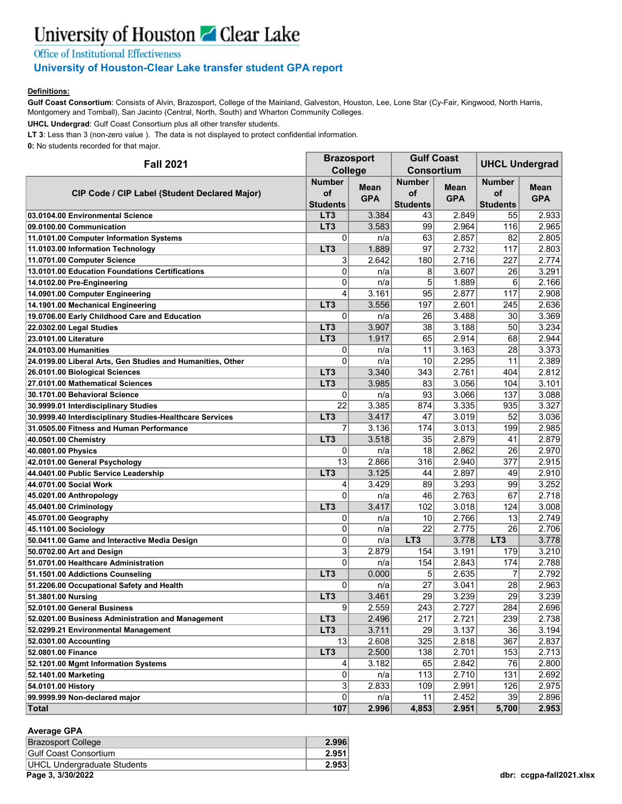# Office of Institutional Effectiveness

### **University of Houston-Clear Lake transfer student GPA report**

#### **Definitions:**

Gulf Coast Consortium: Consists of Alvin, Brazosport, College of the Mainland, Galveston, Houston, Lee, Lone Star (Cy-Fair, Kingwood, North Harris, Montgomery and Tomball), San Jacinto (Central, North, South) and Wharton Community Colleges.

**UHCL Undergrad**: Gulf Coast Consortium plus all other transfer students.

LT 3: Less than 3 (non-zero value ). The data is not displayed to protect confidential information.

**0:** No students recorded for that major.

|                                                            | <b>Brazosport</b> |            | <b>Gulf Coast</b> |             | <b>UHCL Undergrad</b> |            |
|------------------------------------------------------------|-------------------|------------|-------------------|-------------|-----------------------|------------|
| <b>Fall 2021</b>                                           |                   | College    | <b>Consortium</b> |             |                       |            |
|                                                            | <b>Number</b>     |            | <b>Number</b>     |             | Number                |            |
| CIP Code / CIP Label (Student Declared Major)              | Οf                | Mean       | <b>of</b>         | <b>Mean</b> | οf                    | Mean       |
|                                                            | Students          | <b>GPA</b> | <b>Students</b>   | <b>GPA</b>  | <b>Students</b>       | <b>GPA</b> |
| 03.0104.00 Environmental Science                           | LT <sub>3</sub>   | 3.384      | 43                | 2.849       | 55                    | 2.933      |
| 09.0100.00 Communication                                   | LT <sub>3</sub>   | 3.583      | 99                | 2.964       | 116                   | 2.965      |
| 11.0101.00 Computer Information Systems                    | 0                 | n/a        | 63                | 2.857       | 82                    | 2.805      |
| 11.0103.00 Information Technology                          | LT <sub>3</sub>   | 1.889      | 97                | 2.732       | 117                   | 2.803      |
| 11.0701.00 Computer Science                                | 3                 | 2.642      | 180               | 2.716       | 227                   | 2.774      |
| 13.0101.00 Education Foundations Certifications            | 0                 | n/a        | 8                 | 3.607       | 26                    | 3.291      |
| 14.0102.00 Pre-Engineering                                 | 0                 | n/a        | 5                 | 1.889       | 6                     | 2.166      |
| 14.0901.00 Computer Engineering                            | $\overline{4}$    | 3.161      | 95                | 2.877       | 117                   | 2.908      |
| 14.1901.00 Mechanical Engineering                          | LT <sub>3</sub>   | 3.556      | 197               | 2.601       | 245                   | 2.636      |
| 19.0706.00 Early Childhood Care and Education              | $\Omega$          | n/a        | 26                | 3.488       | 30                    | 3.369      |
| 22.0302.00 Legal Studies                                   | LT <sub>3</sub>   | 3.907      | 38                | 3.188       | 50                    | 3.234      |
| 23.0101.00 Literature                                      | LT <sub>3</sub>   | 1.917      | 65                | 2.914       | 68                    | 2.944      |
| 24.0103.00 Humanities                                      | 0                 | n/a        | 11                | 3.163       | 28                    | 3.373      |
| 24.0199.00 Liberal Arts, Gen Studies and Humanities, Other | $\mathbf 0$       | n/a        | 10                | 2.295       | 11                    | 2.389      |
| 26.0101.00 Biological Sciences                             | LT <sub>3</sub>   | 3.340      | 343               | 2.761       | 404                   | 2.812      |
| 27.0101.00 Mathematical Sciences                           | LT <sub>3</sub>   | 3.985      | 83                | 3.056       | 104                   | 3.101      |
| 30.1701.00 Behavioral Science                              | 0                 | n/a        | 93                | 3.066       | 137                   | 3.088      |
| 30.9999.01 Interdisciplinary Studies                       | 22                | 3.385      | 874               | 3.335       | 935                   | 3.327      |
| 30.9999.40 Interdisciplinary Studies-Healthcare Services   | LT <sub>3</sub>   | 3.417      | 47                | 3.019       | 52                    | 3.036      |
| 31.0505.00 Fitness and Human Performance                   | 7                 | 3.136      | 174               | 3.013       | 199                   | 2.985      |
| 40.0501.00 Chemistry                                       | LT <sub>3</sub>   | 3.518      | 35                | 2.879       | 41                    | 2.879      |
| 40.0801.00 Physics                                         | 0                 | n/a        | 18                | 2.862       | 26                    | 2.970      |
| 42.0101.00 General Psychology                              | 13                | 2.866      | 316               | 2.940       | 377                   | 2.915      |
| 44.0401.00 Public Service Leadership                       | LT <sub>3</sub>   | 3.125      | 44                | 2.897       | 49                    | 2.910      |
| 44.0701.00 Social Work                                     | 4                 | 3.429      | 89                | 3.293       | 99                    | 3.252      |
| 45.0201.00 Anthropology                                    | 0                 | n/a        | 46                | 2.763       | 67                    | 2.718      |
| 45.0401.00 Criminology                                     | LT <sub>3</sub>   | 3.417      | 102               | 3.018       | 124                   | 3.008      |
| 45.0701.00 Geography                                       | 0                 | n/a        | 10                | 2.766       | 13                    | 2.749      |
| 45.1101.00 Sociology                                       | 0                 | n/a        | 22                | 2.775       | 26                    | 2.706      |
| 50.0411.00 Game and Interactive Media Design               | 0                 | n/a        | LT3               | 3.778       | LT <sub>3</sub>       | 3.778      |
| 50.0702.00 Art and Design                                  | 3                 | 2.879      | 154               | 3.191       | 179                   | 3.210      |
| 51.0701.00 Healthcare Administration                       | $\Omega$          | n/a        | 154               | 2.843       | 174                   | 2.788      |
| 51.1501.00 Addictions Counseling                           | LT <sub>3</sub>   | 0.000      | 5                 | 2.635       | $\overline{7}$        | 2.792      |
| 51.2206.00 Occupational Safety and Health                  | $\Omega$          | n/a        | 27                | 3.041       | 28                    | 2.963      |
| 51.3801.00 Nursing                                         | LT <sub>3</sub>   | 3.461      | 29                | 3.239       | 29                    | 3.239      |
| 52.0101.00 General Business                                | 9                 | 2.559      | $\overline{243}$  | 2.727       | 284                   | 2.696      |
| 52.0201.00 Business Administration and Management          | LT <sub>3</sub>   | 2.496      | 217               | 2.721       | 239                   | 2.738      |
| 52.0299.21 Environmental Management                        | LT <sub>3</sub>   | 3.711      | 29                | 3.137       | 36                    | 3.194      |
| 52.0301.00 Accounting                                      | 13                | 2.608      | 325               | 2.818       | 367                   | 2.837      |
| 52.0801.00 Finance                                         | LT <sub>3</sub>   | 2.500      | 138               | 2.701       | 153                   | 2.713      |
| 52.1201.00 Mgmt Information Systems                        | 4                 | 3.182      | 65                | 2.842       | 76                    | 2.800      |
| 52.1401.00 Marketing                                       | $\overline{0}$    | n/a        | 113               | 2.710       | 131                   | 2.692      |
| 54.0101.00 History                                         | 3 <sup>2</sup>    | 2.833      | 109               | 2.991       | 126                   | 2.975      |
| 99.9999.99 Non-declared major                              | $\overline{0}$    | n/a        | 11                | 2.452       | 39                    | 2.896      |
| Total                                                      | 107               | 2.996      | 4,853             | 2.951       | 5,700                 | 2.953      |

| Brazosport College          | 2.996 |
|-----------------------------|-------|
| Gulf Coast Consortium       | 2.951 |
| UHCL Undergraduate Students | 2.953 |
| Page 3, 3/30/2022           |       |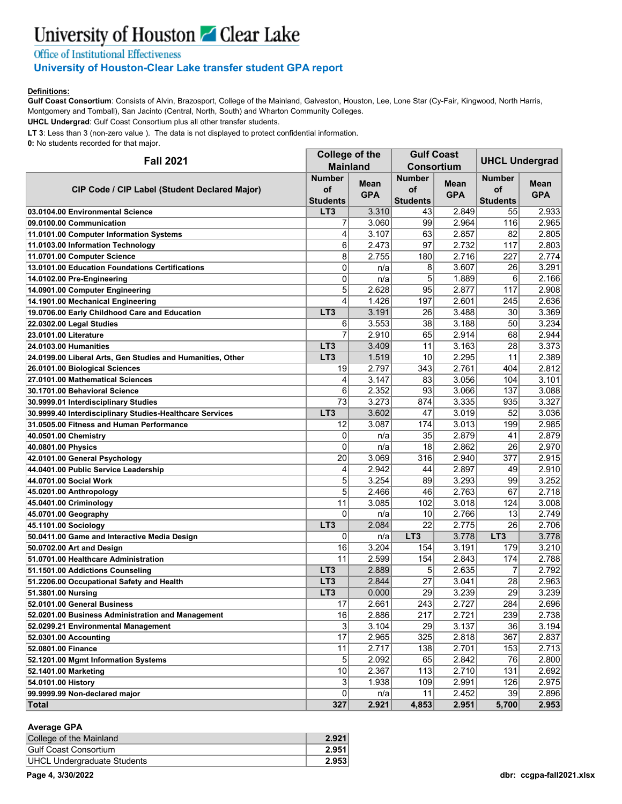# Office of Institutional Effectiveness

### **University of Houston-Clear Lake transfer student GPA report**

#### **Definitions:**

**Gulf Coast Consortium**: Consists of Alvin, Brazosport, College of the Mainland, Galveston, Houston, Lee, Lone Star (Cy-Fair, Kingwood, North Harris, Montgomery and Tomball), San Jacinto (Central, North, South) and Wharton Community Colleges.

**UHCL Undergrad**: Gulf Coast Consortium plus all other transfer students.

LT 3: Less than 3 (non-zero value ). The data is not displayed to protect confidential information.

**0:** No students recorded for that major.

| <b>Fall 2021</b>                                           | <b>College of the</b>              |                 | <b>Gulf Coast</b> |                |                       |                |
|------------------------------------------------------------|------------------------------------|-----------------|-------------------|----------------|-----------------------|----------------|
|                                                            |                                    | <b>Mainland</b> | Consortium        |                | <b>UHCL Undergrad</b> |                |
|                                                            | <b>Number</b>                      |                 | <b>Number</b>     |                | <b>Number</b>         |                |
| <b>CIP Code / CIP Label (Student Declared Major)</b>       | οf                                 | Mean            | οf                | Mean           | <b>of</b>             | Mean           |
|                                                            | <b>Students</b>                    | <b>GPA</b>      | <b>Students</b>   | <b>GPA</b>     | <b>Students</b>       | <b>GPA</b>     |
| 03.0104.00 Environmental Science                           | LT <sub>3</sub>                    | 3.310           | 43                | 2.849          | 55                    | 2.933          |
| 09.0100.00 Communication                                   | 7                                  | 3.060           | 99                | 2.964          | 116                   | 2.965          |
| 11.0101.00 Computer Information Systems                    | 4                                  | 3.107           | 63                | 2.857          | 82                    | 2.805          |
| 11.0103.00 Information Technology                          | $6 \mid$                           | 2.473           | 97                | 2.732          | 117                   | 2.803          |
| 11.0701.00 Computer Science                                | 8                                  | 2.755           | 180               | 2.716          | 227                   | 2.774          |
| 13.0101.00 Education Foundations Certifications            | 0                                  | n/a             | 8                 | 3.607          | 26                    | 3.291          |
| 14.0102.00 Pre-Engineering                                 | $\overline{0}$                     | n/a             | 5                 | 1.889          | 6                     | 2.166          |
| 14.0901.00 Computer Engineering                            | 5 <sup>1</sup>                     | 2.628           | 95                | 2.877          | 117                   | 2.908          |
| 14.1901.00 Mechanical Engineering                          | 4                                  | 1.426           | 197               | 2.601          | 245                   | 2.636          |
| 19.0706.00 Early Childhood Care and Education              | LT <sub>3</sub>                    | 3.191           | 26                | 3.488          | 30                    | 3.369          |
| 22.0302.00 Legal Studies                                   | 6                                  | 3.553           | 38                | 3.188          | 50                    | 3.234          |
| 23.0101.00 Literature                                      | 7                                  | 2.910           | 65                | 2.914          | 68                    | 2.944          |
| 24.0103.00 Humanities                                      | LT <sub>3</sub>                    | 3.409           | 11                | 3.163          | 28                    | 3.373          |
| 24.0199.00 Liberal Arts, Gen Studies and Humanities, Other | LT <sub>3</sub>                    | 1.519           | 10                | 2.295          | 11                    | 2.389          |
| 26.0101.00 Biological Sciences                             | 19                                 | 2.797           | 343               | 2.761          | 404                   | 2.812          |
| 27.0101.00 Mathematical Sciences                           | 4                                  | 3.147           | 83                | 3.056          | 104                   | 3.101          |
| 30.1701.00 Behavioral Science                              | 6                                  | 2.352           | 93                | 3.066          | 137                   | 3.088          |
| 30.9999.01 Interdisciplinary Studies                       | 73                                 | 3.273           | 874               | 3.335          | 935                   | 3.327          |
| 30.9999.40 Interdisciplinary Studies-Healthcare Services   | LT <sub>3</sub>                    | 3.602           | 47                | 3.019          | 52                    | 3.036          |
| 31.0505.00 Fitness and Human Performance                   | 12                                 | 3.087           | 174               | 3.013          | 199                   | 2.985          |
| 40.0501.00 Chemistry                                       | $\mathbf 0$                        | n/a             | 35                | 2.879          | 41                    | 2.879          |
| 40.0801.00 Physics                                         | $\mathbf{0}$                       | n/a             | 18                | 2.862          | 26                    | 2.970          |
| 42.0101.00 General Psychology                              | 20                                 | 3.069           | 316               | 2.940          | 377                   | 2.915          |
| 44.0401.00 Public Service Leadership                       | $\vert 4 \vert$                    | 2.942           | 44                | 2.897          | 49                    | 2.910          |
| 44.0701.00 Social Work                                     | 5                                  | 3.254           | 89                | 3.293          | 99                    | 3.252          |
|                                                            | 5 <sup>1</sup>                     | 2.466           | 46                | 2.763          | 67                    | 2.718          |
| 45.0201.00 Anthropology                                    | 11                                 | 3.085           | 102               | 3.018          | 124                   | 3.008          |
| 45.0401.00 Criminology                                     | $\Omega$                           | n/a             | 10                | 2.766          | 13                    |                |
| 45.0701.00 Geography                                       | LT <sub>3</sub>                    | 2.084           | 22                | 2.775          | $\overline{26}$       | 2.749<br>2.706 |
| 45.1101.00 Sociology                                       | $\Omega$                           |                 | LT <sub>3</sub>   | 3.778          | LT <sub>3</sub>       | 3.778          |
| 50.0411.00 Game and Interactive Media Design               | 16                                 | n/a             |                   |                |                       |                |
| 50.0702.00 Art and Design                                  | 11                                 | 3.204<br>2.599  | 154<br>154        | 3.191<br>2.843 | 179<br>174            | 3.210<br>2.788 |
| 51.0701.00 Healthcare Administration                       |                                    |                 |                   |                |                       |                |
| 51.1501.00 Addictions Counseling                           | LT <sub>3</sub><br>LT <sub>3</sub> | 2.889<br>2.844  | 5<br>27           | 2.635<br>3.041 | 7<br>28               | 2.792<br>2.963 |
| 51.2206.00 Occupational Safety and Health                  |                                    | 0.000           | 29                |                | 29                    |                |
| 51.3801.00 Nursing                                         | LT <sub>3</sub>                    |                 |                   | 3.239          |                       | 3.239          |
| 52.0101.00 General Business                                | 17                                 | 2.661           | $\overline{243}$  | 2.727          | 284                   | 2.696          |
| 52.0201.00 Business Administration and Management          | 16                                 | 2.886           | 217               | 2.721          | 239                   | 2.738          |
| 52.0299.21 Environmental Management                        | 3<br>17                            | 3.104           | 29<br>325         | 3.137          | 36<br>367             | 3.194          |
| 52.0301.00 Accounting                                      |                                    | 2.965           |                   | 2.818          |                       | 2.837          |
| 52.0801.00 Finance                                         | 11                                 | 2.717           | 138               | 2.701          | 153                   | 2.713          |
| 52.1201.00 Mgmt Information Systems                        | 5                                  | 2.092           | 65                | 2.842          | 76                    | 2.800          |
| 52.1401.00 Marketing                                       | 10                                 | 2.367           | 113               | 2.710          | 131                   | 2.692          |
| 54.0101.00 History                                         | 3                                  | 1.938           | 109               | 2.991          | 126                   | 2.975          |
| 99.9999.99 Non-declared major                              | $\overline{0}$                     | n/a             | 11                | 2.452          | 39                    | 2.896          |
| Total                                                      | 327                                | 2.921           | 4,853             | 2.951          | 5,700                 | 2.953          |

| AVVIANT OF A                       |       |
|------------------------------------|-------|
| College of the Mainland            | 2.921 |
| Gulf Coast Consortium              | 2.951 |
| <b>UHCL Undergraduate Students</b> | 2.953 |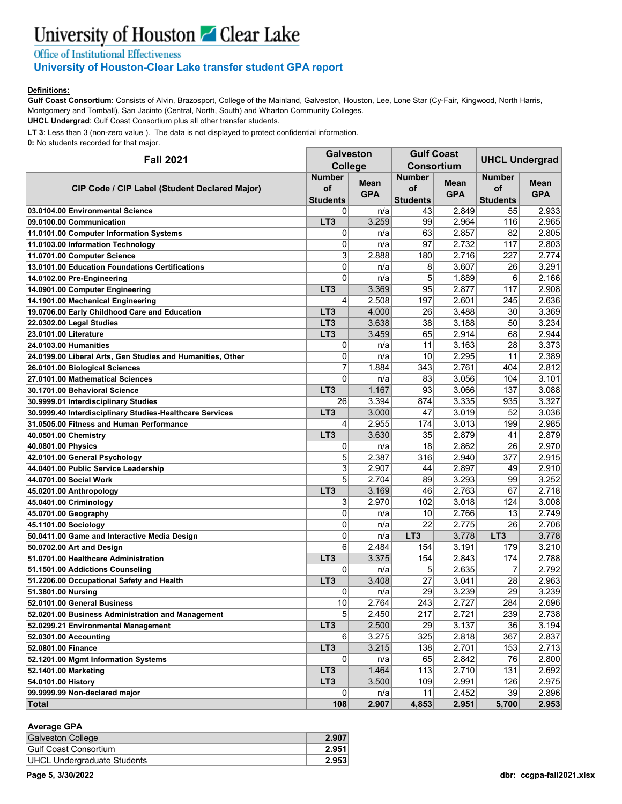# Office of Institutional Effectiveness

### **University of Houston-Clear Lake transfer student GPA report**

#### **Definitions:**

**Gulf Coast Consortium**: Consists of Alvin, Brazosport, College of the Mainland, Galveston, Houston, Lee, Lone Star (Cy-Fair, Kingwood, North Harris, Montgomery and Tomball), San Jacinto (Central, North, South) and Wharton Community Colleges.

**UHCL Undergrad**: Gulf Coast Consortium plus all other transfer students.

LT 3: Less than 3 (non-zero value ). The data is not displayed to protect confidential information.

**0:** No students recorded for that major.

|                                                            | <b>Galveston</b><br><b>Fall 2021</b> |                           | <b>Gulf Coast</b> |                    |                 | <b>UHCL Undergrad</b> |  |  |
|------------------------------------------------------------|--------------------------------------|---------------------------|-------------------|--------------------|-----------------|-----------------------|--|--|
|                                                            |                                      | <b>College</b>            | <b>Consortium</b> |                    |                 |                       |  |  |
|                                                            | <b>Number</b>                        |                           | <b>Number</b>     |                    | <b>Number</b>   |                       |  |  |
| CIP Code / CIP Label (Student Declared Major)              | Οf                                   | <b>Mean</b><br><b>GPA</b> | οf                | Mean<br><b>GPA</b> | <b>of</b>       | Mean<br><b>GPA</b>    |  |  |
|                                                            | Students                             |                           | <b>Students</b>   |                    | <b>Students</b> |                       |  |  |
| 03.0104.00 Environmental Science                           | $\Omega$                             | n/a                       | 43                | 2.849              | 55              | 2.933                 |  |  |
| 09.0100.00 Communication                                   | LT <sub>3</sub>                      | 3.259                     | 99                | 2.964              | 116             | 2.965                 |  |  |
| 11.0101.00 Computer Information Systems                    | $\mathbf 0$                          | n/a                       | 63                | 2.857              | 82              | 2.805                 |  |  |
| 11.0103.00 Information Technology                          | $\Omega$                             | n/a                       | 97                | 2.732              | 117             | 2.803                 |  |  |
| 11.0701.00 Computer Science                                | $\mathbf{3}$                         | 2.888                     | 180               | 2.716              | 227             | 2.774                 |  |  |
| 13.0101.00 Education Foundations Certifications            | $\overline{0}$                       | n/a                       | 8                 | 3.607              | 26              | 3.291                 |  |  |
| 14.0102.00 Pre-Engineering                                 | $\Omega$                             | n/a                       | 5                 | 1.889              | 6               | 2.166                 |  |  |
| 14.0901.00 Computer Engineering                            | LT <sub>3</sub>                      | 3.369                     | 95                | 2.877              | 117             | 2.908                 |  |  |
| 14.1901.00 Mechanical Engineering                          | $\vert 4 \vert$                      | 2.508                     | 197               | 2.601              | 245             | 2.636                 |  |  |
| 19.0706.00 Early Childhood Care and Education              | LT <sub>3</sub>                      | 4.000                     | 26                | 3.488              | 30              | 3.369                 |  |  |
| 22.0302.00 Legal Studies                                   | LT <sub>3</sub>                      | 3.638                     | 38                | 3.188              | 50              | 3.234                 |  |  |
| 23.0101.00 Literature                                      | LT <sub>3</sub>                      | 3.459                     | 65                | 2.914              | 68              | 2.944                 |  |  |
| 24.0103.00 Humanities                                      | $\overline{0}$                       | n/a                       | 11                | 3.163              | $\overline{28}$ | 3.373                 |  |  |
| 24.0199.00 Liberal Arts, Gen Studies and Humanities, Other | $\overline{0}$                       | n/a                       | 10                | 2.295              | 11              | 2.389                 |  |  |
| 26.0101.00 Biological Sciences                             | 7                                    | 1.884                     | 343               | 2.761              | 404             | 2.812                 |  |  |
| 27.0101.00 Mathematical Sciences                           | $\Omega$                             | n/a                       | 83                | 3.056              | 104             | 3.101                 |  |  |
| 30.1701.00 Behavioral Science                              | LT <sub>3</sub>                      | 1.167                     | 93                | 3.066              | 137             | 3.088                 |  |  |
| 30.9999.01 Interdisciplinary Studies                       | 26                                   | 3.394                     | 874               | 3.335              | 935             | 3.327                 |  |  |
| 30.9999.40 Interdisciplinary Studies-Healthcare Services   | LT <sub>3</sub>                      | 3.000                     | 47                | 3.019              | 52              | 3.036                 |  |  |
| 31.0505.00 Fitness and Human Performance                   | $\vert 4 \vert$                      | 2.955                     | 174               | 3.013              | 199             | 2.985                 |  |  |
| 40.0501.00 Chemistry                                       | LT <sub>3</sub>                      | 3.630                     | 35                | 2.879              | 41              | 2.879                 |  |  |
| 40.0801.00 Physics                                         | $\overline{0}$                       | n/a                       | 18                | 2.862              | 26              | 2.970                 |  |  |
| 42.0101.00 General Psychology                              | 5 <sup>1</sup>                       | 2.387                     | 316               | 2.940              | 377             | 2.915                 |  |  |
| 44.0401.00 Public Service Leadership                       | $\mathbf{3}$                         | 2.907                     | 44                | 2.897              | 49              | 2.910                 |  |  |
| 44.0701.00 Social Work                                     | 5 <sup>1</sup>                       | 2.704                     | 89                | 3.293              | 99              | 3.252                 |  |  |
| 45.0201.00 Anthropology                                    | LT <sub>3</sub>                      | 3.169                     | 46                | 2.763              | 67              | 2.718                 |  |  |
| 45.0401.00 Criminology                                     | $\mathbf{3}$                         | 2.970                     | 102               | 3.018              | 124             | 3.008                 |  |  |
| 45.0701.00 Geography                                       | $\overline{0}$                       | n/a                       | 10                | 2.766              | 13              | 2.749                 |  |  |
| 45.1101.00 Sociology                                       | $\overline{0}$                       | n/a                       | 22                | 2.775              | 26              | 2.706                 |  |  |
| 50.0411.00 Game and Interactive Media Design               | $\overline{0}$                       | n/a                       | LT <sub>3</sub>   | 3.778              | LT <sub>3</sub> | 3.778                 |  |  |
| 50.0702.00 Art and Design                                  | 6                                    | 2.484                     | 154               | 3.191              | 179             | 3.210                 |  |  |
| 51.0701.00 Healthcare Administration                       | LT <sub>3</sub>                      | 3.375                     | 154               | 2.843              | 174             | 2.788                 |  |  |
| 51.1501.00 Addictions Counseling                           | $\overline{0}$                       | n/a                       | 5                 | 2.635              | 7               | 2.792                 |  |  |
| 51.2206.00 Occupational Safety and Health                  | LT <sub>3</sub>                      | 3.408                     | $\overline{27}$   | 3.041              | 28              | 2.963                 |  |  |
| 51.3801.00 Nursing                                         | $\Omega$                             | n/a                       | 29                | 3.239              | 29              | 3.239                 |  |  |
| 52.0101.00 General Business                                | 10                                   | 2.764                     | 243               | 2.727              | 284             | 2.696                 |  |  |
| 52.0201.00 Business Administration and Management          | 5 <sup>5</sup>                       | 2.450                     | 217               | 2.721              | 239             | 2.738                 |  |  |
| 52.0299.21 Environmental Management                        | LT <sub>3</sub>                      | 2.500                     | 29                | 3.137              | 36              | 3.194                 |  |  |
| 52.0301.00 Accounting                                      | $6 \mid$                             | 3.275                     | 325               | 2.818              | 367             | 2.837                 |  |  |
| 52.0801.00 Finance                                         | LT <sub>3</sub>                      | 3.215                     | 138               | 2.701              | 153             | 2.713                 |  |  |
| 52.1201.00 Mgmt Information Systems                        | 0                                    | n/a                       | 65                | 2.842              | 76              | 2.800                 |  |  |
| 52.1401.00 Marketing                                       | LT <sub>3</sub>                      | 1.464                     | 113               | 2.710              | 131             | 2.692                 |  |  |
| 54.0101.00 History                                         | LT <sub>3</sub>                      | 3.500                     | 109               | 2.991              | 126             | 2.975                 |  |  |
| 99.9999.99 Non-declared major                              | 0                                    | n/a                       | 11                | 2.452              | 39              | 2.896                 |  |  |
| Total                                                      | 108                                  | 2.907                     | 4,853             | 2.951              | 5,700           | 2.953                 |  |  |

| AVVIUYV VI A                |       |
|-----------------------------|-------|
| Galveston College           | 2.907 |
| Gulf Coast Consortium       | 2.951 |
| UHCL Undergraduate Students | 2.953 |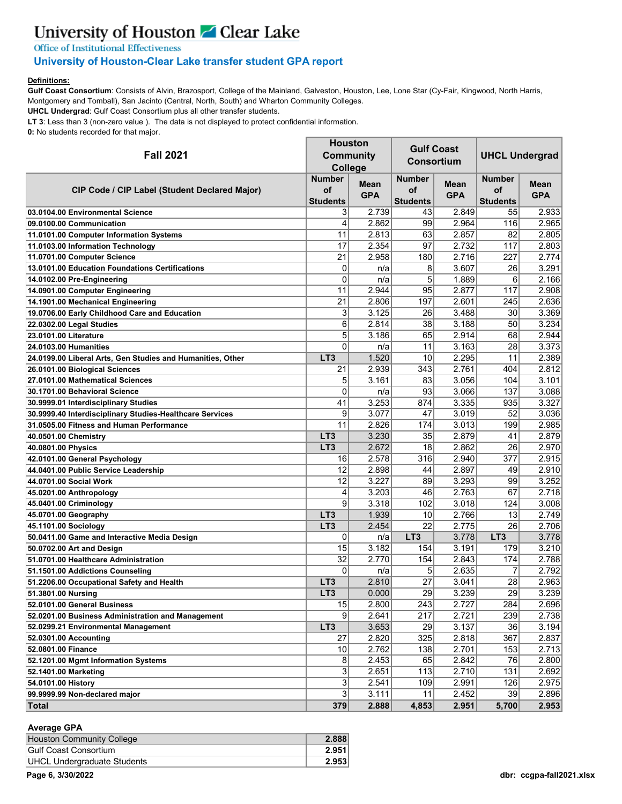Office of Institutional Effectiveness

### **University of Houston-Clear Lake transfer student GPA report**

#### **Definitions:**

**Gulf Coast Consortium**: Consists of Alvin, Brazosport, College of the Mainland, Galveston, Houston, Lee, Lone Star (Cy-Fair, Kingwood, North Harris, Montgomery and Tomball), San Jacinto (Central, North, South) and Wharton Community Colleges.

**UHCL Undergrad**: Gulf Coast Consortium plus all other transfer students.

**LT 3**: Less than 3 (non-zero value ). The data is not displayed to protect confidential information.

**0:** No students recorded for that major.

|                                                            | <b>Houston</b>  |                  | <b>Gulf Coast</b> |            |                       |            |
|------------------------------------------------------------|-----------------|------------------|-------------------|------------|-----------------------|------------|
| <b>Fall 2021</b>                                           |                 | <b>Community</b> |                   |            | <b>UHCL Undergrad</b> |            |
|                                                            |                 | <b>College</b>   | <b>Consortium</b> |            |                       |            |
|                                                            | <b>Number</b>   |                  | <b>Number</b>     |            | <b>Number</b>         |            |
| CIP Code / CIP Label (Student Declared Major)              | Οf              | Mean             | <b>of</b>         | Mean       | <b>of</b>             | Mean       |
|                                                            | <b>Students</b> | <b>GPA</b>       | <b>Students</b>   | <b>GPA</b> | <b>Students</b>       | <b>GPA</b> |
| 03.0104.00 Environmental Science                           | 3               | 2.739            | 43                | 2.849      | 55                    | 2.933      |
| 09.0100.00 Communication                                   | $\vert 4 \vert$ | 2.862            | 99                | 2.964      | 116                   | 2.965      |
| 11.0101.00 Computer Information Systems                    | 11              | 2.813            | 63                | 2.857      | 82                    | 2.805      |
| 11.0103.00 Information Technology                          | 17              | 2.354            | 97                | 2.732      | 117                   | 2.803      |
| 11.0701.00 Computer Science                                | 21              | 2.958            | 180               | 2.716      | 227                   | 2.774      |
| 13.0101.00 Education Foundations Certifications            | 0               | n/a              | 8                 | 3.607      | 26                    | 3.291      |
| 14.0102.00 Pre-Engineering                                 | $\mathbf 0$     | n/a              | 5                 | 1.889      | 6                     | 2.166      |
| 14.0901.00 Computer Engineering                            | 11              | 2.944            | 95                | 2.877      | 117                   | 2.908      |
| 14.1901.00 Mechanical Engineering                          | 21              | 2.806            | 197               | 2.601      | 245                   | 2.636      |
| 19.0706.00 Early Childhood Care and Education              | $\mathbf{3}$    | 3.125            | 26                | 3.488      | 30                    | 3.369      |
| 22.0302.00 Legal Studies                                   | 6               | 2.814            | 38                | 3.188      | 50                    | 3.234      |
| 23.0101.00 Literature                                      | 5               | 3.186            | 65                | 2.914      | 68                    | 2.944      |
| 24.0103.00 Humanities                                      | $\Omega$        | n/a              | 11                | 3.163      | 28                    | 3.373      |
| 24.0199.00 Liberal Arts, Gen Studies and Humanities, Other | LT <sub>3</sub> | 1.520            | 10                | 2.295      | 11                    | 2.389      |
| 26.0101.00 Biological Sciences                             | 21              | 2.939            | 343               | 2.761      | 404                   | 2.812      |
| 27.0101.00 Mathematical Sciences                           | 5               | 3.161            | 83                | 3.056      | 104                   | 3.101      |
| 30.1701.00 Behavioral Science                              | 0               | n/a              | 93                | 3.066      | 137                   | 3.088      |
| 30.9999.01 Interdisciplinary Studies                       | 41              | 3.253            | 874               | 3.335      | 935                   | 3.327      |
| 30.9999.40 Interdisciplinary Studies-Healthcare Services   | 9               | 3.077            | 47                | 3.019      | 52                    | 3.036      |
| 31.0505.00 Fitness and Human Performance                   | 11              | 2.826            | 174               | 3.013      | 199                   | 2.985      |
| 40.0501.00 Chemistry                                       | LT <sub>3</sub> | 3.230            | 35                | 2.879      | 41                    | 2.879      |
| 40.0801.00 Physics                                         | LT <sub>3</sub> | 2.672            | 18                | 2.862      | $\overline{26}$       | 2.970      |
| 42.0101.00 General Psychology                              | 16              | 2.578            | 316               | 2.940      | 377                   | 2.915      |
| 44.0401.00 Public Service Leadership                       | 12              | 2.898            | 44                | 2.897      | 49                    | 2.910      |
| 44.0701.00 Social Work                                     | 12              | 3.227            | 89                | 3.293      | 99                    | 3.252      |
| 45.0201.00 Anthropology                                    | 4               | 3.203            | 46                | 2.763      | 67                    | 2.718      |
| 45.0401.00 Criminology                                     | $\overline{9}$  | 3.318            | 102               | 3.018      | 124                   | 3.008      |
| 45.0701.00 Geography                                       | LT <sub>3</sub> | 1.939            | 10                | 2.766      | 13                    | 2.749      |
| 45.1101.00 Sociology                                       | LT <sub>3</sub> | 2.454            | $\overline{22}$   | 2.775      | $\overline{26}$       | 2.706      |
| 50.0411.00 Game and Interactive Media Design               | $\Omega$        | n/a              | LT <sub>3</sub>   | 3.778      | LT <sub>3</sub>       | 3.778      |
| 50.0702.00 Art and Design                                  | 15              | 3.182            | 154               | 3.191      | 179                   | 3.210      |
| 51.0701.00 Healthcare Administration                       | 32              | 2.770            | 154               | 2.843      | 174                   | 2.788      |
| 51.1501.00 Addictions Counseling                           | $\mathbf{0}$    | n/a              | 5                 | 2.635      | 7                     | 2.792      |
| 51.2206.00 Occupational Safety and Health                  | LT <sub>3</sub> | 2.810            | 27                | 3.041      | 28                    | 2.963      |
| 51.3801.00 Nursing                                         | LT3             | 0.000            | $\overline{29}$   | 3.239      | $\overline{29}$       | 3.239      |
| 52.0101.00 General Business                                | 15              | 2.800            | 243               | 2.727      | 284                   | 2.696      |
| 52.0201.00 Business Administration and Management          | $\overline{9}$  | 2.641            | 217               | 2.721      | 239                   | 2.738      |
| 52.0299.21 Environmental Management                        | LT <sub>3</sub> | 3.653            | 29                | 3.137      | 36                    | 3.194      |
| 52.0301.00 Accounting                                      | 27              | 2.820            | 325               | 2.818      | 367                   | 2.837      |
| 52.0801.00 Finance                                         | 10              | 2.762            | 138               | 2.701      | 153                   | 2.713      |
| 52.1201.00 Mgmt Information Systems                        | 8 <sup>2</sup>  | 2.453            | 65                | 2.842      | 76                    | 2.800      |
| 52.1401.00 Marketing                                       | 3               | 2.651            | 113               | 2.710      | 131                   | 2.692      |
| 54.0101.00 History                                         | 3               | 2.541            | 109               | 2.991      | 126                   | 2.975      |
| 99.9999.99 Non-declared major                              | 3               | 3.111            | 11                | 2.452      | 39                    | 2.896      |
| Total                                                      | 379             | 2.888            | 4,853             | 2.951      | 5,700                 | 2.953      |

| <b>Houston Community College</b> | 2.888 |
|----------------------------------|-------|
| Gulf Coast Consortium            | 2.951 |
| UHCL Undergraduate Students      | 2.953 |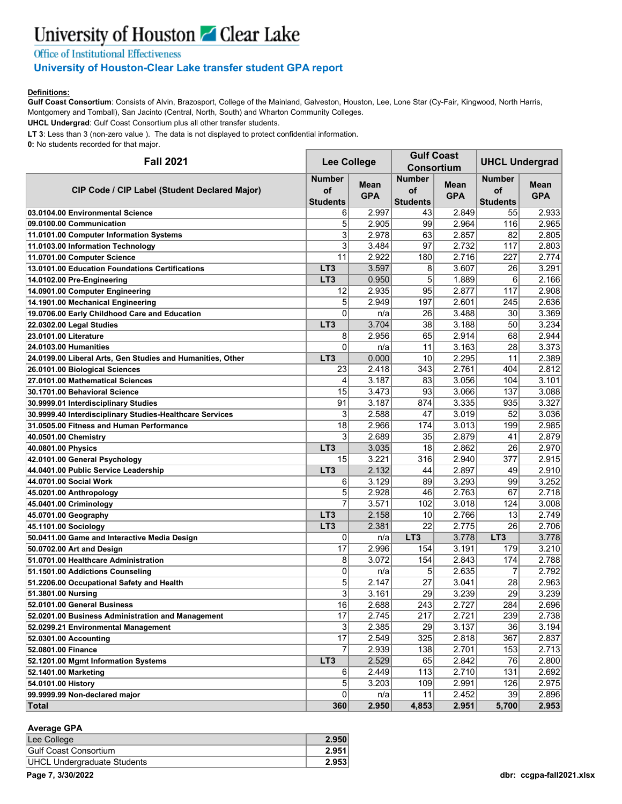# Office of Institutional Effectiveness

### **University of Houston-Clear Lake transfer student GPA report**

#### **Definitions:**

Gulf Coast Consortium: Consists of Alvin, Brazosport, College of the Mainland, Galveston, Houston, Lee, Lone Star (Cy-Fair, Kingwood, North Harris, Montgomery and Tomball), San Jacinto (Central, North, South) and Wharton Community Colleges.

**UHCL Undergrad**: Gulf Coast Consortium plus all other transfer students.

**LT 3**: Less than 3 (non-zero value ). The data is not displayed to protect confidential information.

**0:** No students recorded for that major.

| <b>Fall 2021</b>                                           | <b>Lee College</b>    |            | <b>Gulf Coast</b>     |            | <b>UHCL Undergrad</b> |            |  |
|------------------------------------------------------------|-----------------------|------------|-----------------------|------------|-----------------------|------------|--|
|                                                            |                       |            | <b>Consortium</b>     |            |                       |            |  |
|                                                            | <b>Number</b>         | Mean       | <b>Number</b>         | Mean       | <b>Number</b>         | Mean       |  |
| CIP Code / CIP Label (Student Declared Major)              | οf<br><b>Students</b> | <b>GPA</b> | of<br><b>Students</b> | <b>GPA</b> | οf<br><b>Students</b> | <b>GPA</b> |  |
| 03.0104.00 Environmental Science                           | 6                     | 2.997      | 43                    | 2.849      | 55                    | 2.933      |  |
| 09.0100.00 Communication                                   | 5                     | 2.905      | 99                    | 2.964      | 116                   | 2.965      |  |
| 11.0101.00 Computer Information Systems                    | 3                     | 2.978      | 63                    | 2.857      | 82                    | 2.805      |  |
| 11.0103.00 Information Technology                          | 3                     | 3.484      | 97                    | 2.732      | 117                   | 2.803      |  |
| 11.0701.00 Computer Science                                | 11                    | 2.922      | 180                   | 2.716      | 227                   | 2.774      |  |
| 13.0101.00 Education Foundations Certifications            | LT <sub>3</sub>       | 3.597      | 8                     | 3.607      | 26                    | 3.291      |  |
| 14.0102.00 Pre-Engineering                                 | LT <sub>3</sub>       | 0.950      | 5                     | 1.889      | 6                     | 2.166      |  |
| 14.0901.00 Computer Engineering                            | 12                    | 2.935      | 95                    | 2.877      | 117                   | 2.908      |  |
| 14.1901.00 Mechanical Engineering                          | 5                     | 2.949      | 197                   | 2.601      | 245                   | 2.636      |  |
| 19.0706.00 Early Childhood Care and Education              | $\mathbf{0}$          | n/a        | 26                    | 3.488      | 30                    | 3.369      |  |
| 22.0302.00 Legal Studies                                   | LT <sub>3</sub>       | 3.704      | 38                    | 3.188      | 50                    | 3.234      |  |
| 23.0101.00 Literature                                      | 8                     | 2.956      | 65                    | 2.914      | 68                    | 2.944      |  |
| 24.0103.00 Humanities                                      | $\overline{0}$        | n/a        | 11                    | 3.163      | 28                    | 3.373      |  |
| 24.0199.00 Liberal Arts, Gen Studies and Humanities, Other | LT <sub>3</sub>       | 0.000      | 10                    | 2.295      | 11                    | 2.389      |  |
| 26.0101.00 Biological Sciences                             | 23                    | 2.418      | 343                   | 2.761      | 404                   | 2.812      |  |
| 27.0101.00 Mathematical Sciences                           | 4                     | 3.187      | 83                    | 3.056      | 104                   | 3.101      |  |
| 30.1701.00 Behavioral Science                              | 15                    | 3.473      | 93                    | 3.066      | 137                   | 3.088      |  |
| 30.9999.01 Interdisciplinary Studies                       | 91                    | 3.187      | 874                   | 3.335      | 935                   | 3.327      |  |
| 30.9999.40 Interdisciplinary Studies-Healthcare Services   | 3                     | 2.588      | 47                    | 3.019      | 52                    | 3.036      |  |
| 31.0505.00 Fitness and Human Performance                   | $\overline{18}$       | 2.966      | 174                   | 3.013      | 199                   | 2.985      |  |
| 40.0501.00 Chemistry                                       | 3                     | 2.689      | 35                    | 2.879      | 41                    | 2.879      |  |
| 40.0801.00 Physics                                         | LT <sub>3</sub>       | 3.035      | 18                    | 2.862      | 26                    | 2.970      |  |
| 42.0101.00 General Psychology                              | 15                    | 3.221      | 316                   | 2.940      | 377                   | 2.915      |  |
| 44.0401.00 Public Service Leadership                       | LT <sub>3</sub>       | 2.132      | 44                    | 2.897      | 49                    | 2.910      |  |
| 44.0701.00 Social Work                                     | 6                     | 3.129      | 89                    | 3.293      | 99                    | 3.252      |  |
| 45.0201.00 Anthropology                                    | 5                     | 2.928      | 46                    | 2.763      | 67                    | 2.718      |  |
| 45.0401.00 Criminology                                     | $\overline{7}$        | 3.571      | 102                   | 3.018      | 124                   | 3.008      |  |
| 45.0701.00 Geography                                       | LT <sub>3</sub>       | 2.158      | 10                    | 2.766      | 13                    | 2.749      |  |
| 45.1101.00 Sociology                                       | LT <sub>3</sub>       | 2.381      | $\overline{22}$       | 2.775      | $\overline{26}$       | 2.706      |  |
| 50.0411.00 Game and Interactive Media Design               | 0                     | n/a        | LT <sub>3</sub>       | 3.778      | LT <sub>3</sub>       | 3.778      |  |
| 50.0702.00 Art and Design                                  | 17                    | 2.996      | 154                   | 3.191      | 179                   | 3.210      |  |
| 51.0701.00 Healthcare Administration                       | 8                     | 3.072      | 154                   | 2.843      | 174                   | 2.788      |  |
| 51.1501.00 Addictions Counseling                           | $\boldsymbol{0}$      | n/a        | 5                     | 2.635      | 7                     | 2.792      |  |
| 51.2206.00 Occupational Safety and Health                  | $\overline{5}$        | 2.147      | 27                    | 3.041      | 28                    | 2.963      |  |
| 51.3801.00 Nursing                                         | 3                     | 3.161      | 29                    | 3.239      | 29                    | 3.239      |  |
| 52.0101.00 General Business                                | 16                    | 2.688      | 243                   | 2.727      | 284                   | 2.696      |  |
| 52.0201.00 Business Administration and Management          | 17                    | 2.745      | 217                   | 2.721      | 239                   | 2.738      |  |
| 52.0299.21 Environmental Management                        | $\mathbf{3}$          | 2.385      | 29                    | 3.137      | 36                    | 3.194      |  |
| 52.0301.00 Accounting                                      | 17                    | 2.549      | 325                   | 2.818      | 367                   | 2.837      |  |
| 52.0801.00 Finance                                         | $\overline{7}$        | 2.939      | 138                   | 2.701      | 153                   | 2.713      |  |
| 52.1201.00 Mgmt Information Systems                        | LT <sub>3</sub>       | 2.529      | 65                    | 2.842      | 76                    | 2.800      |  |
| 52.1401.00 Marketing                                       | 6                     | 2.449      | 113                   | 2.710      | 131                   | 2.692      |  |
| 54.0101.00 History                                         | 5                     | 3.203      | 109                   | 2.991      | 126                   | 2.975      |  |
| 99.9999.99 Non-declared major                              | 0                     | n/a        | 11                    | 2.452      | 39                    | 2.896      |  |
| Total                                                      | 360                   | 2.950      | 4,853                 | 2.951      | 5,700                 | 2.953      |  |

| T                           |       |
|-----------------------------|-------|
| Lee College                 | 2.950 |
| Gulf Coast Consortium       | 2.951 |
| UHCL Undergraduate Students | 2.953 |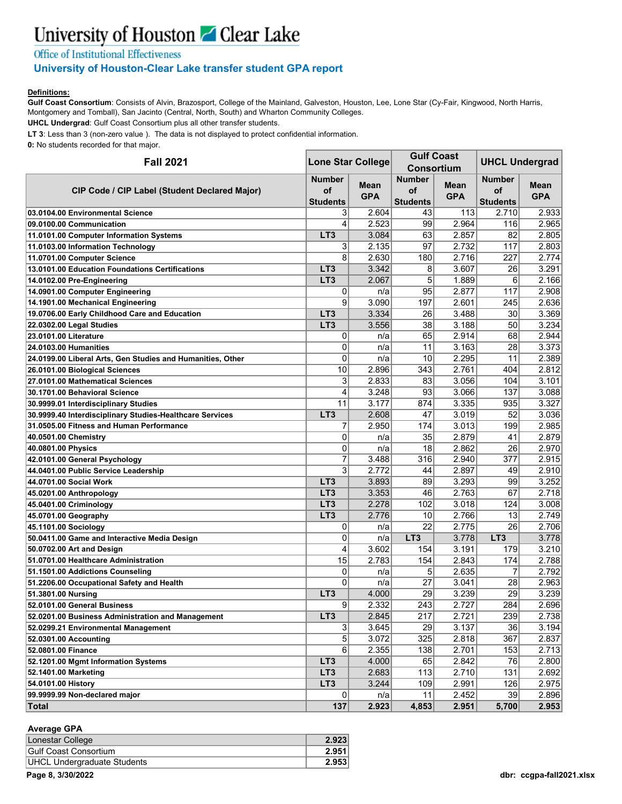# Office of Institutional Effectiveness

### **University of Houston-Clear Lake transfer student GPA report**

#### **Definitions:**

**Gulf Coast Consortium**: Consists of Alvin, Brazosport, College of the Mainland, Galveston, Houston, Lee, Lone Star (Cy-Fair, Kingwood, North Harris, Montgomery and Tomball), San Jacinto (Central, North, South) and Wharton Community Colleges.

**UHCL Undergrad**: Gulf Coast Consortium plus all other transfer students.

**LT 3**: Less than 3 (non-zero value ). The data is not displayed to protect confidential information.

**0:** No students recorded for that major.

|                                                              |                          |                           | <b>Gulf Coast</b> |                           |                       |                    |
|--------------------------------------------------------------|--------------------------|---------------------------|-------------------|---------------------------|-----------------------|--------------------|
| <b>Fall 2021</b>                                             | <b>Lone Star College</b> |                           | <b>Consortium</b> |                           | <b>UHCL Undergrad</b> |                    |
|                                                              | <b>Number</b>            |                           | <b>Number</b>     |                           | <b>Number</b>         |                    |
| <b>CIP Code / CIP Label (Student Declared Major)</b>         | οf                       | <b>Mean</b><br><b>GPA</b> | of                | <b>Mean</b><br><b>GPA</b> | Οf                    | Mean<br><b>GPA</b> |
|                                                              | <b>Students</b>          |                           | <b>Students</b>   |                           | <b>Students</b>       |                    |
| 03.0104.00 Environmental Science                             | 3                        | 2.604                     | 43                | 113                       | 2.710                 | 2.933              |
| 09.0100.00 Communication                                     | 4                        | 2.523                     | 99                | 2.964                     | 116                   | 2.965              |
| 11.0101.00 Computer Information Systems                      | LT <sub>3</sub>          | 3.084                     | 63                | 2.857                     | 82                    | 2.805              |
| 11.0103.00 Information Technology                            | 3                        | 2.135                     | 97                | 2.732                     | 117                   | 2.803              |
| 11.0701.00 Computer Science                                  | 8                        | 2.630                     | 180               | 2.716                     | 227                   | 2.774              |
| 13.0101.00 Education Foundations Certifications              | LT <sub>3</sub>          | 3.342                     | 8                 | 3.607                     | 26                    | 3.291              |
| 14.0102.00 Pre-Engineering                                   | LT <sub>3</sub>          | 2.067                     | 5                 | 1.889                     | 6                     | 2.166              |
| 14.0901.00 Computer Engineering                              | 0                        | n/a                       | 95                | 2.877                     | 117                   | 2.908              |
| 14.1901.00 Mechanical Engineering                            | 9                        | 3.090                     | 197               | 2.601                     | 245                   | 2.636              |
| 19.0706.00 Early Childhood Care and Education                | LT <sub>3</sub>          | 3.334                     | 26                | 3.488                     | 30                    | 3.369              |
| 22.0302.00 Legal Studies                                     | LT <sub>3</sub>          | 3.556                     | 38                | 3.188                     | 50                    | 3.234              |
| 23.0101.00 Literature                                        | $\overline{0}$           | n/a                       | 65                | 2.914                     | 68                    | 2.944              |
| 24.0103.00 Humanities                                        | 0                        | n/a                       | 11                | 3.163                     | 28                    | 3.373              |
| 24.0199.00 Liberal Arts, Gen Studies and Humanities, Other   | 0                        | n/a                       | 10                | 2.295                     | 11                    | 2.389              |
| 26.0101.00 Biological Sciences                               | 10                       | 2.896                     | 343               | 2.761                     | 404                   | 2.812              |
| 27.0101.00 Mathematical Sciences                             | 3                        | 2.833                     | 83                | 3.056                     | 104                   | 3.101              |
| 30.1701.00 Behavioral Science                                | $\overline{4}$           | 3.248                     | 93                | 3.066                     | 137                   | 3.088              |
| 30.9999.01 Interdisciplinary Studies                         | 11                       | 3.177                     | 874               | 3.335                     | 935                   | 3.327              |
| 30.9999.40 Interdisciplinary Studies-Healthcare Services     | LT <sub>3</sub>          | 2.608                     | 47                | 3.019                     | 52                    | 3.036              |
| 31.0505.00 Fitness and Human Performance                     | 7                        | 2.950                     | 174               | 3.013                     | 199                   | 2.985              |
| 40.0501.00 Chemistry                                         | 0                        | n/a                       | 35                | 2.879                     | 41                    | 2.879              |
| 40.0801.00 Physics                                           | 0                        | n/a                       | 18                | 2.862                     | 26                    | 2.970              |
| 42.0101.00 General Psychology                                | 7                        | 3.488                     | 316               | 2.940                     | 377                   | 2.915              |
| 44.0401.00 Public Service Leadership                         | 3                        | 2.772                     | 44                | 2.897                     | 49                    | 2.910              |
| 44.0701.00 Social Work                                       | LT <sub>3</sub>          | 3.893                     | 89                | 3.293                     | 99                    | 3.252              |
| 45.0201.00 Anthropology                                      | LT <sub>3</sub>          | 3.353                     | 46                | 2.763                     | 67                    | 2.718              |
| 45.0401.00 Criminology                                       | LT <sub>3</sub>          | 2.278                     | 102               | 3.018                     | 124                   | 3.008              |
| 45.0701.00 Geography                                         | LT <sub>3</sub>          | 2.776                     | 10                | 2.766                     | 13                    | 2.749              |
| 45.1101.00 Sociology                                         | 0                        | n/a                       | 22                | 2.775                     | 26                    | 2.706              |
| 50.0411.00 Game and Interactive Media Design                 | 0                        | n/a                       | LT3               | 3.778                     | LT <sub>3</sub>       | 3.778              |
| 50.0702.00 Art and Design                                    | 4                        | 3.602                     | 154               | 3.191                     | 179                   | 3.210              |
| 51.0701.00 Healthcare Administration                         | 15                       | 2.783                     | 154               | 2.843                     | 174                   | 2.788              |
| 51.1501.00 Addictions Counseling                             | 0                        | n/a                       | 5                 | 2.635                     | 7                     | 2.792              |
| 51.2206.00 Occupational Safety and Health                    | $\mathbf 0$              | n/a                       | $\overline{27}$   | 3.041                     | 28                    | 2.963              |
| 51.3801.00 Nursing                                           | LT <sub>3</sub>          | 4.000                     | 29                | 3.239                     | 29                    | 3.239              |
| 52.0101.00 General Business                                  | $\mathsf{Q}$             | 2.332                     | 243               | 2.727                     | 284                   | 2.696              |
| 52.0201.00 Business Administration and Management            | LT <sub>3</sub>          | 2.845                     | 217               | 2.721                     | 239                   | 2.738              |
|                                                              |                          | 3.645                     | 29                | 3.137                     | 36                    | 3.194              |
| 52.0299.21 Environmental Management<br>52.0301.00 Accounting | 3<br>$5\vert$            | 3.072                     | 325               | 2.818                     | 367                   | 2.837              |
|                                                              | 6                        |                           |                   |                           |                       |                    |
| 52.0801.00 Finance                                           |                          | 2.355                     | 138               | 2.701                     | 153                   | 2.713              |
| 52.1201.00 Mgmt Information Systems                          | LT <sub>3</sub>          | 4.000                     | 65                | 2.842                     | 76                    | 2.800              |
| 52.1401.00 Marketing                                         | LT <sub>3</sub>          | 2.683                     | 113               | 2.710                     | 131                   | 2.692              |
| 54.0101.00 History                                           | LT <sub>3</sub>          | 3.244                     | 109               | 2.991                     | 126                   | 2.975              |
| 99.9999.99 Non-declared major                                | 0                        | n/a                       | 11                | 2.452                     | 39                    | 2.896              |
| Total                                                        | 137                      | 2.923                     | 4,853             | 2.951                     | 5,700                 | 2.953              |

| Lonestar College            | 2.923 |
|-----------------------------|-------|
| Gulf Coast Consortium       | 2.951 |
| UHCL Undergraduate Students | 2.953 |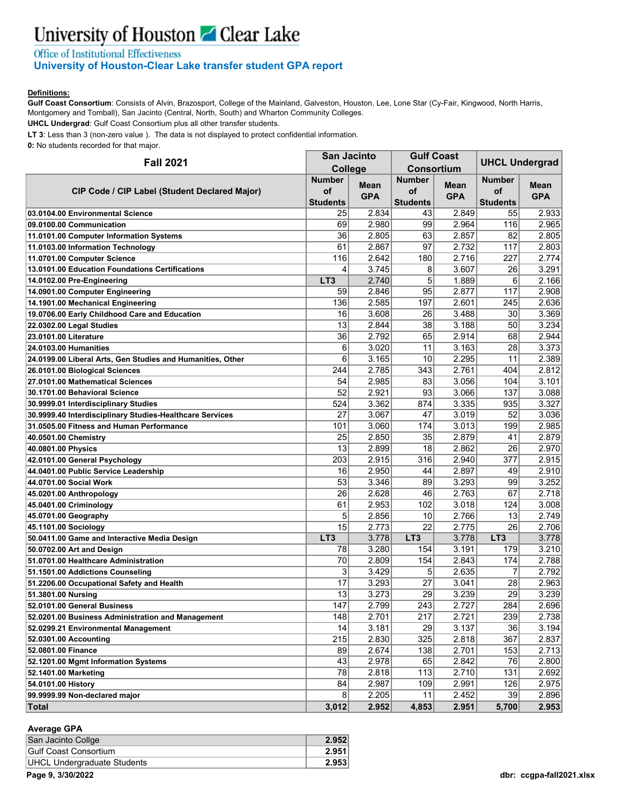# Office of Institutional Effectiveness

### **University of Houston-Clear Lake transfer student GPA report**

#### **Definitions:**

Gulf Coast Consortium: Consists of Alvin, Brazosport, College of the Mainland, Galveston, Houston, Lee, Lone Star (Cy-Fair, Kingwood, North Harris, Montgomery and Tomball), San Jacinto (Central, North, South) and Wharton Community Colleges.

**UHCL Undergrad**: Gulf Coast Consortium plus all other transfer students.

**LT 3**: Less than 3 (non-zero value ). The data is not displayed to protect confidential information.

**0:** No students recorded for that major.

|                                                            |                 | San Jacinto |                   | <b>Gulf Coast</b> |                       |            |  |
|------------------------------------------------------------|-----------------|-------------|-------------------|-------------------|-----------------------|------------|--|
| <b>Fall 2021</b>                                           | College         |             | <b>Consortium</b> |                   | <b>UHCL Undergrad</b> |            |  |
|                                                            | <b>Number</b>   |             | <b>Number</b>     |                   | <b>Number</b>         |            |  |
| CIP Code / CIP Label (Student Declared Major)              | οf              | Mean        | of                | Mean              | Οf                    | Mean       |  |
|                                                            | <b>Students</b> | <b>GPA</b>  | <b>Students</b>   | <b>GPA</b>        | <b>Students</b>       | <b>GPA</b> |  |
| 03.0104.00 Environmental Science                           | 25              | 2.834       | 43                | 2.849             | 55                    | 2.933      |  |
| 09.0100.00 Communication                                   | 69              | 2.980       | 99                | 2.964             | 116                   | 2.965      |  |
| 11.0101.00 Computer Information Systems                    | 36              | 2.805       | 63                | 2.857             | 82                    | 2.805      |  |
| 11.0103.00 Information Technology                          | 61              | 2.867       | 97                | 2.732             | 117                   | 2.803      |  |
| 11.0701.00 Computer Science                                | 116             | 2.642       | 180               | 2.716             | 227                   | 2.774      |  |
| 13.0101.00 Education Foundations Certifications            | 4               | 3.745       | 8                 | 3.607             | 26                    | 3.291      |  |
| 14.0102.00 Pre-Engineering                                 | LT <sub>3</sub> | 2.740       | 5                 | 1.889             | 6                     | 2.166      |  |
| 14.0901.00 Computer Engineering                            | 59              | 2.846       | 95                | 2.877             | 117                   | 2.908      |  |
| 14.1901.00 Mechanical Engineering                          | 136             | 2.585       | 197               | 2.601             | 245                   | 2.636      |  |
| 19.0706.00 Early Childhood Care and Education              | 16              | 3.608       | 26                | 3.488             | 30                    | 3.369      |  |
| 22.0302.00 Legal Studies                                   | 13              | 2.844       | 38                | 3.188             | 50                    | 3.234      |  |
| 23.0101.00 Literature                                      | 36              | 2.792       | 65                | 2.914             | 68                    | 2.944      |  |
| 24.0103.00 Humanities                                      | 6               | 3.020       | 11                | 3.163             | 28                    | 3.373      |  |
| 24.0199.00 Liberal Arts, Gen Studies and Humanities, Other | 6               | 3.165       | 10                | 2.295             | 11                    | 2.389      |  |
| 26.0101.00 Biological Sciences                             | 244             | 2.785       | 343               | 2.761             | 404                   | 2.812      |  |
| 27.0101.00 Mathematical Sciences                           | 54              | 2.985       | 83                | 3.056             | 104                   | 3.101      |  |
| 30.1701.00 Behavioral Science                              | 52              | 2.921       | 93                | 3.066             | 137                   | 3.088      |  |
| 30.9999.01 Interdisciplinary Studies                       | 524             | 3.362       | 874               | 3.335             | 935                   | 3.327      |  |
| 30.9999.40 Interdisciplinary Studies-Healthcare Services   | 27              | 3.067       | 47                | 3.019             | 52                    | 3.036      |  |
| 31.0505.00 Fitness and Human Performance                   | 101             | 3.060       | 174               | 3.013             | 199                   | 2.985      |  |
| 40.0501.00 Chemistry                                       | 25              | 2.850       | 35                | 2.879             | 41                    | 2.879      |  |
| 40.0801.00 Physics                                         | 13              | 2.899       | 18                | 2.862             | $\overline{26}$       | 2.970      |  |
| 42.0101.00 General Psychology                              | 203             | 2.915       | 316               | 2.940             | 377                   | 2.915      |  |
| 44.0401.00 Public Service Leadership                       | 16              | 2.950       | 44                | 2.897             | 49                    | 2.910      |  |
| 44.0701.00 Social Work                                     | 53              | 3.346       | 89                | 3.293             | 99                    | 3.252      |  |
| 45.0201.00 Anthropology                                    | 26              | 2.628       | 46                | 2.763             | 67                    | 2.718      |  |
| 45.0401.00 Criminology                                     | 61              | 2.953       | 102               | 3.018             | 124                   | 3.008      |  |
| 45.0701.00 Geography                                       | 5               | 2.856       | 10                | 2.766             | 13                    | 2.749      |  |
| 45.1101.00 Sociology                                       | 15              | 2.773       | $\overline{22}$   | 2.775             | $\overline{26}$       | 2.706      |  |
| 50.0411.00 Game and Interactive Media Design               | LT <sub>3</sub> | 3.778       | LT <sub>3</sub>   | 3.778             | LT <sub>3</sub>       | 3.778      |  |
| 50.0702.00 Art and Design                                  | 78              | 3.280       | 154               | 3.191             | 179                   | 3.210      |  |
| 51.0701.00 Healthcare Administration                       | 70              | 2.809       | 154               | 2.843             | 174                   | 2.788      |  |
| 51.1501.00 Addictions Counseling                           | 3               | 3.429       | 5                 | 2.635             | 7                     | 2.792      |  |
| 51.2206.00 Occupational Safety and Health                  | 17              | 3.293       | 27                | 3.041             | 28                    | 2.963      |  |
| 51.3801.00 Nursing                                         | 13              | 3.273       | 29                | 3.239             | 29                    | 3.239      |  |
| 52.0101.00 General Business                                | 147             | 2.799       | $\overline{243}$  | 2.727             | 284                   | 2.696      |  |
| 52.0201.00 Business Administration and Management          | 148             | 2.701       | 217               | 2.721             | 239                   | 2.738      |  |
| 52.0299.21 Environmental Management                        | 14              | 3.181       | 29                | 3.137             | 36                    | 3.194      |  |
| 52.0301.00 Accounting                                      | 215             | 2.830       | 325               | 2.818             | 367                   | 2.837      |  |
| 52.0801.00 Finance                                         | 89              | 2.674       | 138               | 2.701             | 153                   | 2.713      |  |
| 52.1201.00 Mgmt Information Systems                        | 43              | 2.978       | 65                | 2.842             | 76                    | 2.800      |  |
| 52.1401.00 Marketing                                       | 78              | 2.818       | 113               | 2.710             | $\overline{131}$      | 2.692      |  |
| 54.0101.00 History                                         | 84              | 2.987       | 109               | 2.991             | 126                   | 2.975      |  |
| 99.9999.99 Non-declared major                              | 8               | 2.205       | 11                | 2.452             | 39                    | 2.896      |  |
| Total                                                      | 3,012           | 2.952       | 4,853             | 2.951             | 5,700                 | 2.953      |  |

| San Jacinto Collge          | 2.952 |
|-----------------------------|-------|
| Gulf Coast Consortium       | 2.951 |
| UHCL Undergraduate Students | 2.953 |
| Page 9, 3/30/2022           |       |